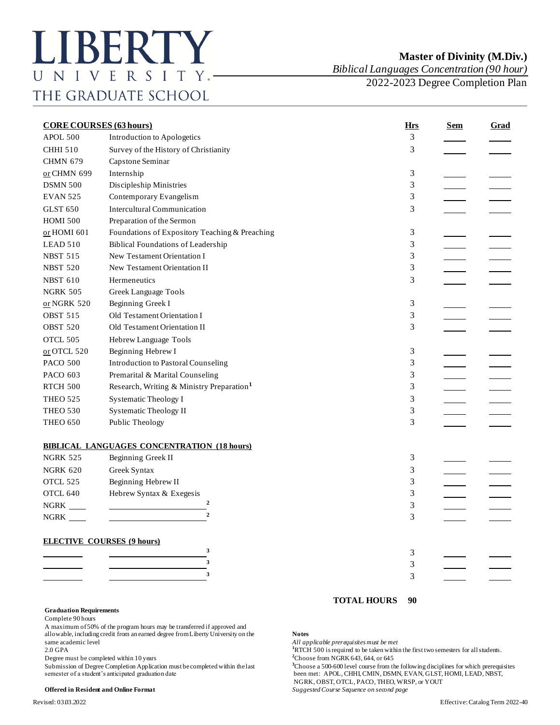*Biblical Languages Concentration (90 hour)*

2022-2023 Degree Completion Plan

| <b>CORE COURSES (63 hours)</b>    |                                                       | <b>Hrs</b> | <u>Sem</u>    | <b>Grad</b> |  |
|-----------------------------------|-------------------------------------------------------|------------|---------------|-------------|--|
| APOL 500                          | Introduction to Apologetics                           |            | 3             |             |  |
| <b>CHHI 510</b>                   | Survey of the History of Christianity                 |            | 3             |             |  |
| <b>CHMN 679</b>                   | Capstone Seminar                                      |            |               |             |  |
| or CHMN 699                       | Internship                                            |            | 3             |             |  |
| <b>DSMN 500</b>                   | Discipleship Ministries                               |            | 3             |             |  |
| <b>EVAN 525</b>                   | Contemporary Evangelism                               |            | 3             |             |  |
| <b>GLST 650</b>                   | <b>Intercultural Communication</b>                    |            | 3             |             |  |
| <b>HOMI 500</b>                   | Preparation of the Sermon                             |            |               |             |  |
| or HOMI 601                       | Foundations of Expository Teaching & Preaching        |            | 3             |             |  |
| LEAD 510                          | <b>Biblical Foundations of Leadership</b>             |            | 3             |             |  |
| <b>NBST 515</b>                   | New Testament Orientation I                           |            | 3             |             |  |
| <b>NBST 520</b>                   | New Testament Orientation II                          |            | 3             |             |  |
| <b>NBST 610</b>                   | Hermeneutics                                          |            | 3             |             |  |
| <b>NGRK 505</b>                   | Greek Language Tools                                  |            |               |             |  |
| $or NGRK 520$                     | Beginning Greek I                                     |            | $\mathfrak 3$ |             |  |
| <b>OBST 515</b>                   | Old Testament Orientation I                           |            | 3             |             |  |
| OBST 520                          | Old Testament Orientation II                          |            | 3             |             |  |
| OTCL 505                          | Hebrew Language Tools                                 |            |               |             |  |
| $or$ OTCL 520                     | Beginning Hebrew I                                    |            | 3             |             |  |
| <b>PACO 500</b>                   | <b>Introduction to Pastoral Counseling</b>            |            | 3             |             |  |
| <b>PACO 603</b>                   | Premarital & Marital Counseling                       |            | 3             |             |  |
| <b>RTCH 500</b>                   | Research, Writing & Ministry Preparation <sup>1</sup> |            | 3             |             |  |
| <b>THEO 525</b>                   | <b>Systematic Theology I</b>                          |            | 3             |             |  |
| <b>THEO 530</b>                   | Systematic Theology II                                |            | 3             |             |  |
| <b>THEO 650</b>                   | Public Theology                                       |            | 3             |             |  |
|                                   | <b>BIBLICAL LANGUAGES CONCENTRATION (18 hours)</b>    |            |               |             |  |
| <b>NGRK 525</b>                   | Beginning Greek II                                    |            | 3             |             |  |
| <b>NGRK 620</b>                   | Greek Syntax                                          |            | 3             |             |  |
| OTCL 525                          | Beginning Hebrew II                                   |            | 3             |             |  |
| OTCL 640                          | Hebrew Syntax & Exegesis                              |            | 3             |             |  |
| $NGRK$ <sub>____</sub>            | 2                                                     |            | 3             |             |  |
|                                   | $\overline{2}$                                        |            | 3             |             |  |
| <b>ELECTIVE COURSES (9 hours)</b> |                                                       |            |               |             |  |
|                                   | 3                                                     |            | 3             |             |  |
|                                   | 3                                                     |            | 3             |             |  |
|                                   | 3                                                     |            | 3             |             |  |
|                                   |                                                       |            |               |             |  |

## **Graduation Requirements**

Complete 90 hours

A maximum of 50% of the program hours may be transferred if approved and allowable, including credit from an earned degree from Liberty University on the **Notes** same academic level *All applicable prerequisites must be met* 2.0 GPA<br>
<sup>1</sup>RTCH 500 is required to be taken within

Degree must be completed within 10 years

## **TOTAL HOURS 90**

<sup>1</sup>RTCH 500 is required to be taken within the first two semesters for all students.<br><sup>2</sup>Choose from NGRK 643, 644, or 645

Submission of Degree Completion Application must be completed within the last<br>
seen met: APOL, CHHI, CMIN, DSMN, EVAN, GLST, HOMI, LEAD, NBST, been met: APOL, CHHI, CMIN, DSMN, EVAN, GLST, HOMI, LEAD, NBST, NGRK, OBST, OTCL, PACO, THEO, WRSP, or YOUT

**Offered in Resident and Online Format** *Suggested Course Sequence on second page*